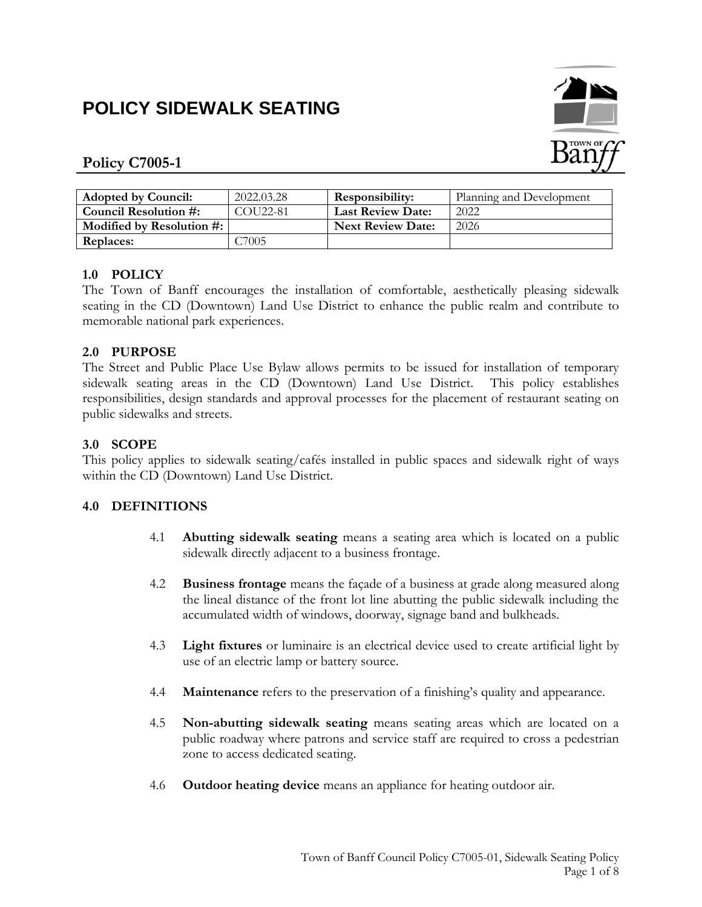# **POLICY SIDEWALK SEATING**



# **Policy C7005-1**

| <b>Adopted by Council:</b> | 2022.03.28           | Responsibility:          | Planning and Development |
|----------------------------|----------------------|--------------------------|--------------------------|
| Council Resolution #:      | COU <sub>22-81</sub> | <b>Last Review Date:</b> | 2022                     |
| Modified by Resolution #:  |                      | <b>Next Review Date:</b> | 2026                     |
| Replaces:                  | -7005                |                          |                          |

# **1.0 POLICY**

The Town of Banff encourages the installation of comfortable, aesthetically pleasing sidewalk seating in the CD (Downtown) Land Use District to enhance the public realm and contribute to memorable national park experiences.

## **2.0 PURPOSE**

The Street and Public Place Use Bylaw allows permits to be issued for installation of temporary sidewalk seating areas in the CD (Downtown) Land Use District. This policy establishes responsibilities, design standards and approval processes for the placement of restaurant seating on public sidewalks and streets.

# **3.0 SCOPE**

This policy applies to sidewalk seating/cafés installed in public spaces and sidewalk right of ways within the CD (Downtown) Land Use District.

## **4.0 DEFINITIONS**

- 4.1 **Abutting sidewalk seating** means a seating area which is located on a public sidewalk directly adjacent to a business frontage.
- 4.2 **Business frontage** means the façade of a business at grade along measured along the lineal distance of the front lot line abutting the public sidewalk including the accumulated width of windows, doorway, signage band and bulkheads.
- 4.3 **Light fixtures** or luminaire is an electrical device used to create artificial light by use of an electric lamp or battery source.
- 4.4 **Maintenance** refers to the preservation of a finishing's quality and appearance.
- 4.5 **Non-abutting sidewalk seating** means seating areas which are located on a public roadway where patrons and service staff are required to cross a pedestrian zone to access dedicated seating.
- 4.6 **Outdoor heating device** means an appliance for heating outdoor air.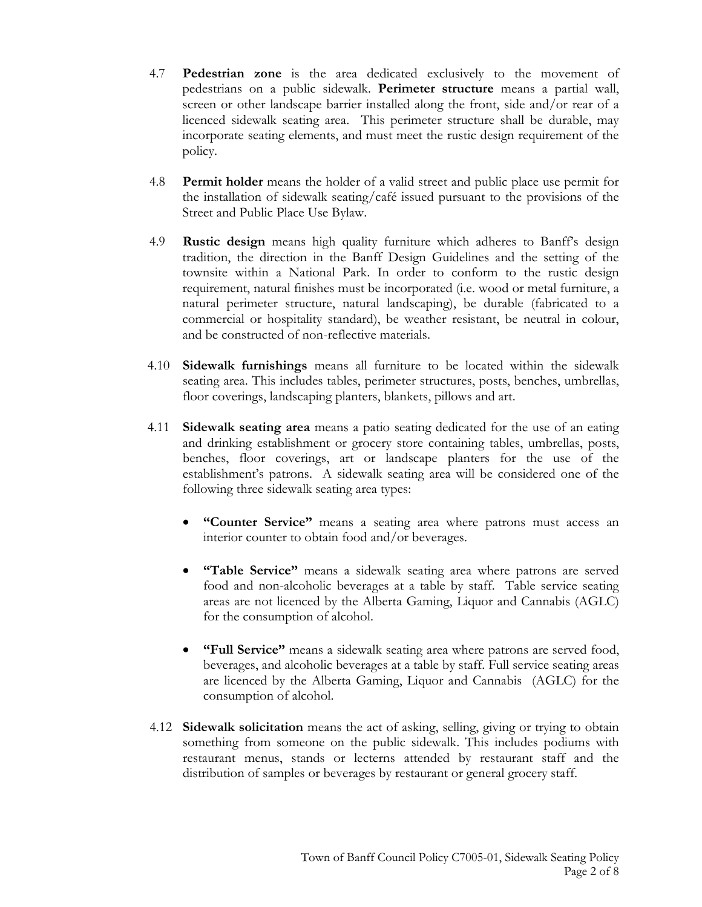- 4.7 **Pedestrian zone** is the area dedicated exclusively to the movement of pedestrians on a public sidewalk. **Perimeter structure** means a partial wall, screen or other landscape barrier installed along the front, side and/or rear of a licenced sidewalk seating area. This perimeter structure shall be durable, may incorporate seating elements, and must meet the rustic design requirement of the policy.
- 4.8 **Permit holder** means the holder of a valid street and public place use permit for the installation of sidewalk seating/café issued pursuant to the provisions of the Street and Public Place Use Bylaw.
- 4.9 **Rustic design** means high quality furniture which adheres to Banff's design tradition, the direction in the Banff Design Guidelines and the setting of the townsite within a National Park. In order to conform to the rustic design requirement, natural finishes must be incorporated (i.e. wood or metal furniture, a natural perimeter structure, natural landscaping), be durable (fabricated to a commercial or hospitality standard), be weather resistant, be neutral in colour, and be constructed of non-reflective materials.
- 4.10 **Sidewalk furnishings** means all furniture to be located within the sidewalk seating area. This includes tables, perimeter structures, posts, benches, umbrellas, floor coverings, landscaping planters, blankets, pillows and art.
- 4.11 **Sidewalk seating area** means a patio seating dedicated for the use of an eating and drinking establishment or grocery store containing tables, umbrellas, posts, benches, floor coverings, art or landscape planters for the use of the establishment's patrons. A sidewalk seating area will be considered one of the following three sidewalk seating area types:
	- **"Counter Service"** means a seating area where patrons must access an interior counter to obtain food and/or beverages.
	- **"Table Service"** means a sidewalk seating area where patrons are served food and non-alcoholic beverages at a table by staff. Table service seating areas are not licenced by the Alberta Gaming, Liquor and Cannabis (AGLC) for the consumption of alcohol.
	- **"Full Service"** means a sidewalk seating area where patrons are served food, beverages, and alcoholic beverages at a table by staff. Full service seating areas are licenced by the Alberta Gaming, Liquor and Cannabis (AGLC) for the consumption of alcohol.
- 4.12 **Sidewalk solicitation** means the act of asking, selling, giving or trying to obtain something from someone on the public sidewalk. This includes podiums with restaurant menus, stands or lecterns attended by restaurant staff and the distribution of samples or beverages by restaurant or general grocery staff.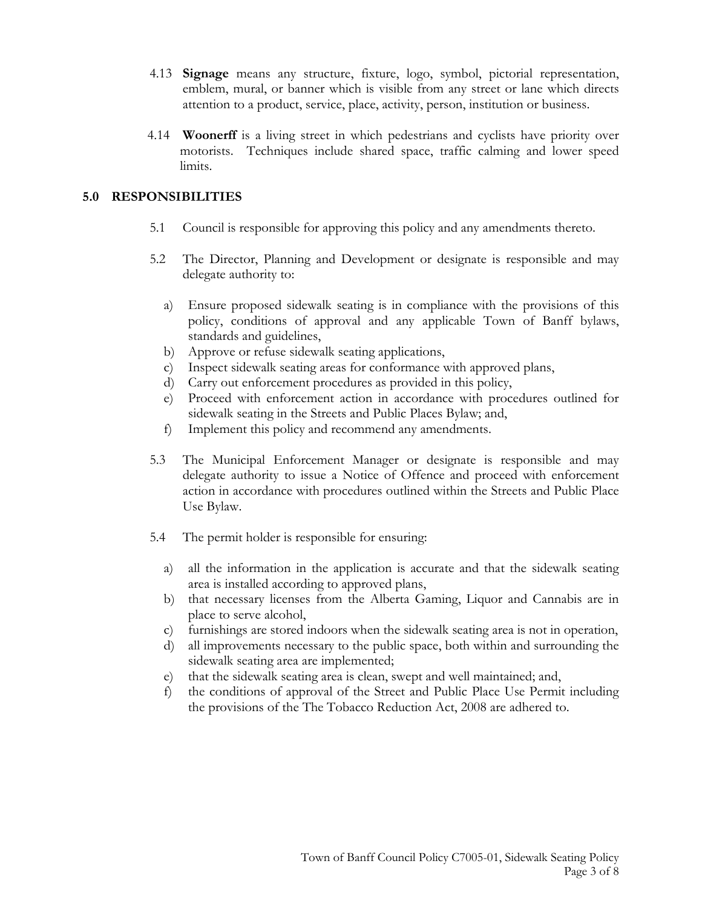- 4.13 **Signage** means any structure, fixture, logo, symbol, pictorial representation, emblem, mural, or banner which is visible from any street or lane which directs attention to a product, service, place, activity, person, institution or business.
- 4.14 **Woonerff** is a living street in which pedestrians and cyclists have priority over motorists. Techniques include shared space, traffic calming and lower speed limits.

## **5.0 RESPONSIBILITIES**

- 5.1 Council is responsible for approving this policy and any amendments thereto.
- 5.2 The Director, Planning and Development or designate is responsible and may delegate authority to:
	- a) Ensure proposed sidewalk seating is in compliance with the provisions of this policy, conditions of approval and any applicable Town of Banff bylaws, standards and guidelines,
	- b) Approve or refuse sidewalk seating applications,
	- c) Inspect sidewalk seating areas for conformance with approved plans,
	- d) Carry out enforcement procedures as provided in this policy,
	- e) Proceed with enforcement action in accordance with procedures outlined for sidewalk seating in the Streets and Public Places Bylaw; and,
	- f) Implement this policy and recommend any amendments.
- 5.3 The Municipal Enforcement Manager or designate is responsible and may delegate authority to issue a Notice of Offence and proceed with enforcement action in accordance with procedures outlined within the Streets and Public Place Use Bylaw.
- 5.4 The permit holder is responsible for ensuring:
	- a) all the information in the application is accurate and that the sidewalk seating area is installed according to approved plans,
	- b) that necessary licenses from the Alberta Gaming, Liquor and Cannabis are in place to serve alcohol,
	- c) furnishings are stored indoors when the sidewalk seating area is not in operation,
	- d) all improvements necessary to the public space, both within and surrounding the sidewalk seating area are implemented;
	- e) that the sidewalk seating area is clean, swept and well maintained; and,
	- f) the conditions of approval of the Street and Public Place Use Permit including the provisions of the The Tobacco Reduction Act, 2008 are adhered to.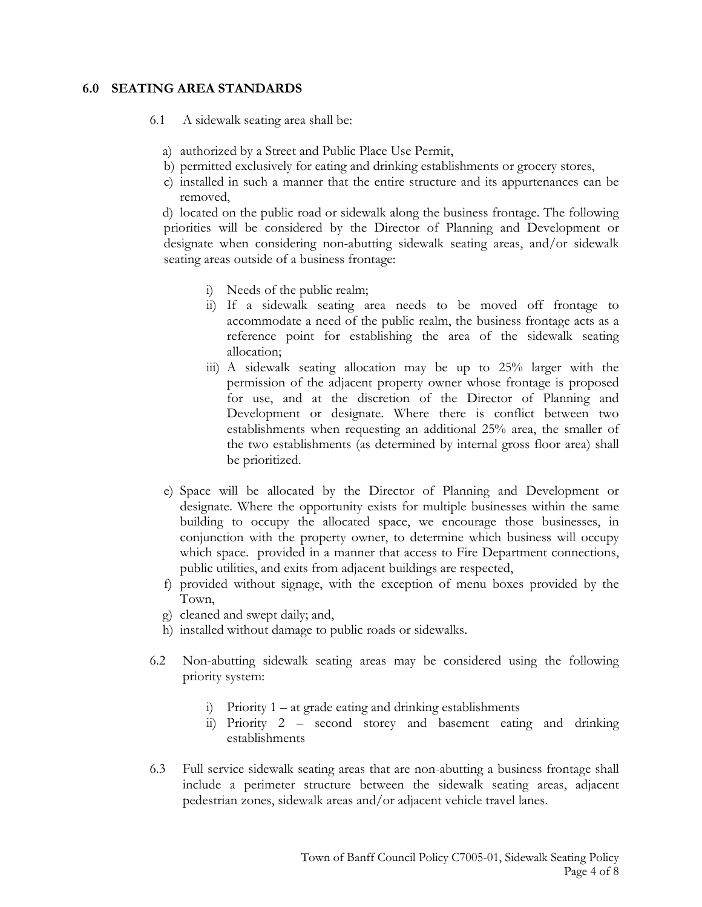## **6.0 SEATING AREA STANDARDS**

- 6.1 A sidewalk seating area shall be:
	- a) authorized by a Street and Public Place Use Permit,
	- b) permitted exclusively for eating and drinking establishments or grocery stores,
	- c) installed in such a manner that the entire structure and its appurtenances can be removed,

d) located on the public road or sidewalk along the business frontage. The following priorities will be considered by the Director of Planning and Development or designate when considering non-abutting sidewalk seating areas, and/or sidewalk seating areas outside of a business frontage:

- i) Needs of the public realm;
- ii) If a sidewalk seating area needs to be moved off frontage to accommodate a need of the public realm, the business frontage acts as a reference point for establishing the area of the sidewalk seating allocation;
- iii) A sidewalk seating allocation may be up to 25% larger with the permission of the adjacent property owner whose frontage is proposed for use, and at the discretion of the Director of Planning and Development or designate. Where there is conflict between two establishments when requesting an additional 25% area, the smaller of the two establishments (as determined by internal gross floor area) shall be prioritized.
- e) Space will be allocated by the Director of Planning and Development or designate. Where the opportunity exists for multiple businesses within the same building to occupy the allocated space, we encourage those businesses, in conjunction with the property owner, to determine which business will occupy which space. provided in a manner that access to Fire Department connections, public utilities, and exits from adjacent buildings are respected,
- f) provided without signage, with the exception of menu boxes provided by the Town,
- g) cleaned and swept daily; and,
- h) installed without damage to public roads or sidewalks.
- 6.2 Non-abutting sidewalk seating areas may be considered using the following priority system:
	- i) Priority 1 at grade eating and drinking establishments
	- ii) Priority 2 second storey and basement eating and drinking establishments
- 6.3 Full service sidewalk seating areas that are non-abutting a business frontage shall include a perimeter structure between the sidewalk seating areas, adjacent pedestrian zones, sidewalk areas and/or adjacent vehicle travel lanes.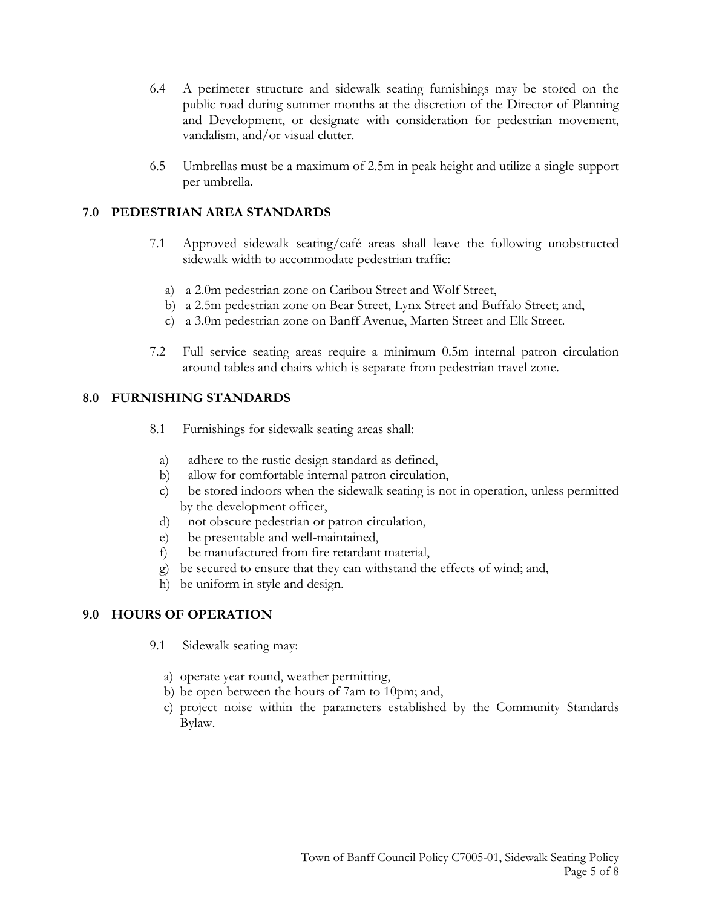- 6.4 A perimeter structure and sidewalk seating furnishings may be stored on the public road during summer months at the discretion of the Director of Planning and Development, or designate with consideration for pedestrian movement, vandalism, and/or visual clutter.
- 6.5 Umbrellas must be a maximum of 2.5m in peak height and utilize a single support per umbrella.

## **7.0 PEDESTRIAN AREA STANDARDS**

- 7.1 Approved sidewalk seating/café areas shall leave the following unobstructed sidewalk width to accommodate pedestrian traffic:
	- a) a 2.0m pedestrian zone on Caribou Street and Wolf Street,
	- b) a 2.5m pedestrian zone on Bear Street, Lynx Street and Buffalo Street; and,
	- c) a 3.0m pedestrian zone on Banff Avenue, Marten Street and Elk Street.
- 7.2 Full service seating areas require a minimum 0.5m internal patron circulation around tables and chairs which is separate from pedestrian travel zone.

## **8.0 FURNISHING STANDARDS**

- 8.1 Furnishings for sidewalk seating areas shall:
	- a) adhere to the rustic design standard as defined,
	- b) allow for comfortable internal patron circulation,
	- c) be stored indoors when the sidewalk seating is not in operation, unless permitted by the development officer,
	- d) not obscure pedestrian or patron circulation,
	- e) be presentable and well-maintained,
	- f) be manufactured from fire retardant material,
	- g) be secured to ensure that they can withstand the effects of wind; and,
- h) be uniform in style and design.

## **9.0 HOURS OF OPERATION**

- 9.1 Sidewalk seating may:
	- a) operate year round, weather permitting,
	- b) be open between the hours of 7am to 10pm; and,
	- c) project noise within the parameters established by the Community Standards Bylaw.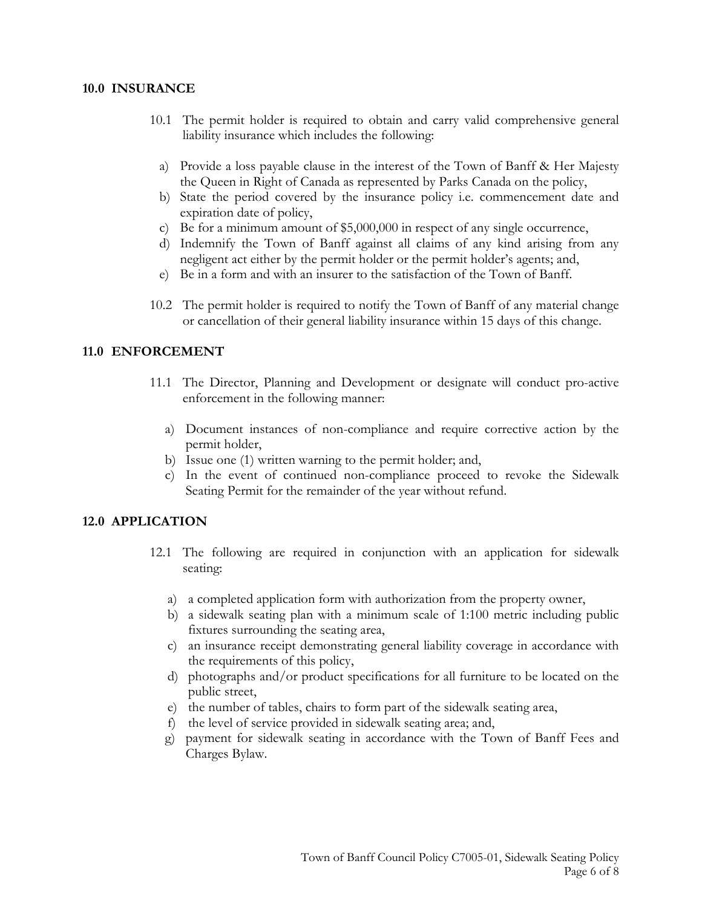#### **10.0 INSURANCE**

- 10.1 The permit holder is required to obtain and carry valid comprehensive general liability insurance which includes the following:
	- a) Provide a loss payable clause in the interest of the Town of Banff & Her Majesty the Queen in Right of Canada as represented by Parks Canada on the policy,
	- b) State the period covered by the insurance policy i.e. commencement date and expiration date of policy,
	- c) Be for a minimum amount of \$5,000,000 in respect of any single occurrence,
	- d) Indemnify the Town of Banff against all claims of any kind arising from any negligent act either by the permit holder or the permit holder's agents; and,
	- e) Be in a form and with an insurer to the satisfaction of the Town of Banff.
- 10.2 The permit holder is required to notify the Town of Banff of any material change or cancellation of their general liability insurance within 15 days of this change.

#### **11.0 ENFORCEMENT**

- 11.1 The Director, Planning and Development or designate will conduct pro-active enforcement in the following manner:
	- a) Document instances of non-compliance and require corrective action by the permit holder,
	- b) Issue one (1) written warning to the permit holder; and,
	- c) In the event of continued non-compliance proceed to revoke the Sidewalk Seating Permit for the remainder of the year without refund.

#### **12.0 APPLICATION**

- 12.1 The following are required in conjunction with an application for sidewalk seating:
	- a) a completed application form with authorization from the property owner,
	- b) a sidewalk seating plan with a minimum scale of 1:100 metric including public fixtures surrounding the seating area,
	- c) an insurance receipt demonstrating general liability coverage in accordance with the requirements of this policy,
	- d) photographs and/or product specifications for all furniture to be located on the public street,
	- e) the number of tables, chairs to form part of the sidewalk seating area,
	- f) the level of service provided in sidewalk seating area; and,
	- g) payment for sidewalk seating in accordance with the Town of Banff Fees and Charges Bylaw.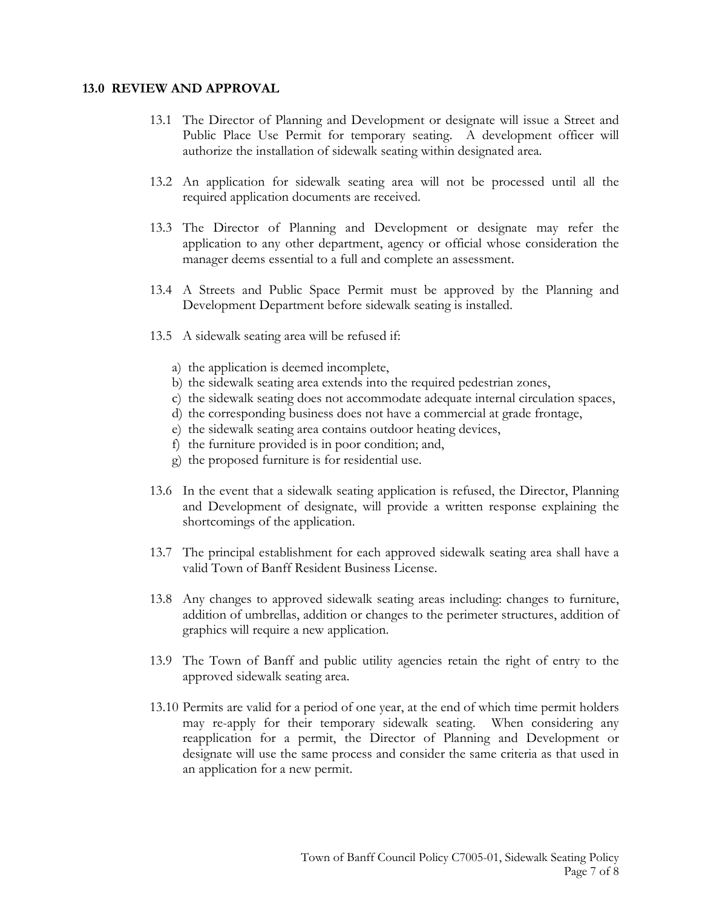#### **13.0 REVIEW AND APPROVAL**

- 13.1 The Director of Planning and Development or designate will issue a Street and Public Place Use Permit for temporary seating. A development officer will authorize the installation of sidewalk seating within designated area.
- 13.2 An application for sidewalk seating area will not be processed until all the required application documents are received.
- 13.3 The Director of Planning and Development or designate may refer the application to any other department, agency or official whose consideration the manager deems essential to a full and complete an assessment.
- 13.4 A Streets and Public Space Permit must be approved by the Planning and Development Department before sidewalk seating is installed.
- 13.5 A sidewalk seating area will be refused if:
	- a) the application is deemed incomplete,
	- b) the sidewalk seating area extends into the required pedestrian zones,
	- c) the sidewalk seating does not accommodate adequate internal circulation spaces,
	- d) the corresponding business does not have a commercial at grade frontage,
	- e) the sidewalk seating area contains outdoor heating devices,
	- f) the furniture provided is in poor condition; and,
	- g) the proposed furniture is for residential use.
- 13.6 In the event that a sidewalk seating application is refused, the Director, Planning and Development of designate, will provide a written response explaining the shortcomings of the application.
- 13.7 The principal establishment for each approved sidewalk seating area shall have a valid Town of Banff Resident Business License.
- 13.8 Any changes to approved sidewalk seating areas including: changes to furniture, addition of umbrellas, addition or changes to the perimeter structures, addition of graphics will require a new application.
- 13.9 The Town of Banff and public utility agencies retain the right of entry to the approved sidewalk seating area.
- 13.10 Permits are valid for a period of one year, at the end of which time permit holders may re-apply for their temporary sidewalk seating. When considering any reapplication for a permit, the Director of Planning and Development or designate will use the same process and consider the same criteria as that used in an application for a new permit.